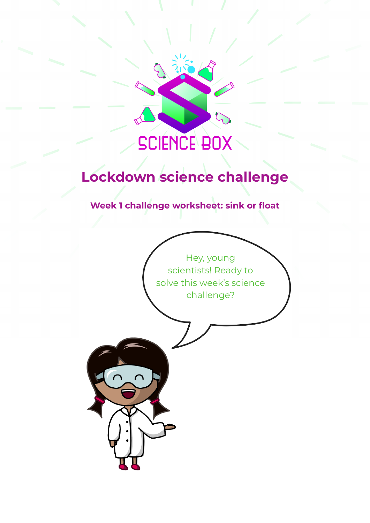# **SCIENCE BOX**

## **Lockdown science challenge**

**Week 1 challenge worksheet: sink or float**

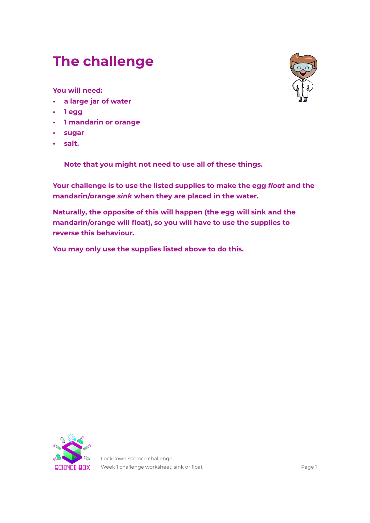## **The challenge**

**You will need:**

- **• a large jar of water**
- **• 1 egg**
- **• 1 mandarin or orange**
- **• sugar**
- **• salt.**

**Note that you might not need to use all of these things.**

**Your challenge is to use the listed supplies to make the egg** *float* **and the mandarin/orange** *sink* **when they are placed in the water.** 

**Naturally, the opposite of this will happen (the egg will sink and the mandarin/orange will float), so you will have to use the supplies to reverse this behaviour.**

**You may only use the supplies listed above to do this.**



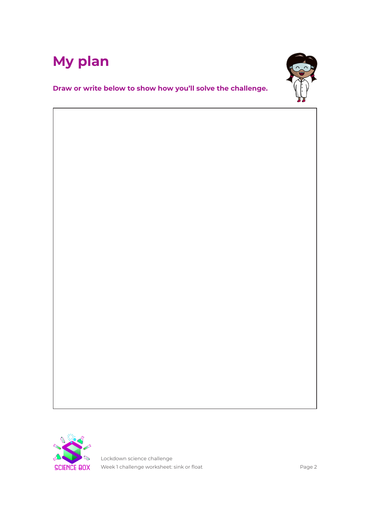



**Draw or write below to show how you'll solve the challenge.**

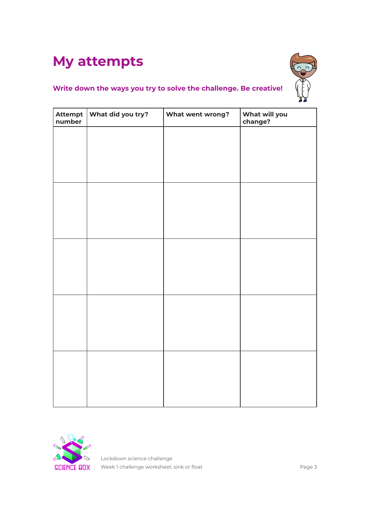## **My attempts**



### **Write down the ways you try to solve the challenge. Be creative!**

| number | Attempt   What did you try? | What went wrong? | What will you<br>change? |
|--------|-----------------------------|------------------|--------------------------|
|        |                             |                  |                          |
|        |                             |                  |                          |
|        |                             |                  |                          |
|        |                             |                  |                          |
|        |                             |                  |                          |
|        |                             |                  |                          |
|        |                             |                  |                          |
|        |                             |                  |                          |
|        |                             |                  |                          |
|        |                             |                  |                          |
|        |                             |                  |                          |
|        |                             |                  |                          |
|        |                             |                  |                          |
|        |                             |                  |                          |
|        |                             |                  |                          |